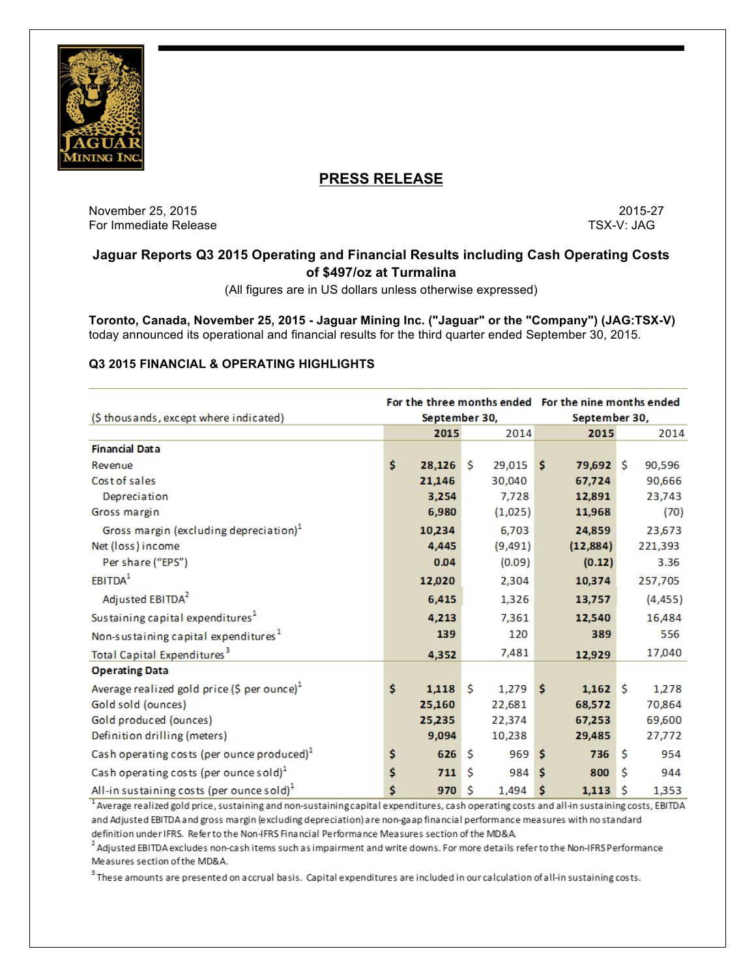

# **PRESS RELEASE**

November 25, 2015 2015-27 For Immediate Release TSX-V: JAG

# **Jaguar Reports Q3 2015 Operating and Financial Results including Cash Operating Costs of \$497/oz at Turmalina**

(All figures are in US dollars unless otherwise expressed)

**Toronto, Canada, November 25, 2015 - Jaguar Mining Inc. ("Jaguar" or the "Company") (JAG:TSX-V)** today announced its operational and financial results for the third quarter ended September 30, 2015.

# **Q3 2015 FINANCIAL & OPERATING HIGHLIGHTS**

|                                                         | For the three months ended For the nine months ended |        |                    |               |    |            |    |          |
|---------------------------------------------------------|------------------------------------------------------|--------|--------------------|---------------|----|------------|----|----------|
| (\$ thousands, except where indicated)                  | September 30,                                        |        |                    | September 30, |    |            |    |          |
|                                                         |                                                      | 2015   |                    | 2014          |    | 2015       |    | 2014     |
| <b>Financial Data</b>                                   |                                                      |        |                    |               |    |            |    |          |
| Revenue                                                 | \$                                                   | 28,126 | $\mathsf{\hat{S}}$ | 29,015        | Ŝ  | 79,692 \$  |    | 90,596   |
| Cost of sales                                           |                                                      | 21,146 |                    | 30,040        |    | 67,724     |    | 90,666   |
| Depreciation                                            |                                                      | 3,254  |                    | 7,728         |    | 12,891     |    | 23,743   |
| Gross margin                                            |                                                      | 6,980  |                    | (1,025)       |    | 11,968     |    | (70)     |
| Gross margin (excluding depreciation) <sup>1</sup>      |                                                      | 10,234 |                    | 6,703         |    | 24,859     |    | 23,673   |
| Net (loss) income                                       |                                                      | 4,445  |                    | (9, 491)      |    | (12, 884)  |    | 221,393  |
| Per share ("EPS")                                       |                                                      | 0.04   |                    | (0.09)        |    | (0.12)     |    | 3.36     |
| EBITDA <sup>1</sup>                                     |                                                      | 12,020 |                    | 2,304         |    | 10,374     |    | 257,705  |
| Adjusted EBITDA <sup>2</sup>                            |                                                      | 6,415  |                    | 1,326         |    | 13,757     |    | (4, 455) |
| Sustaining capital expenditures <sup>1</sup>            |                                                      | 4,213  |                    | 7,361         |    | 12,540     |    | 16,484   |
| Non-sustaining capital expenditures <sup>1</sup>        |                                                      | 139    |                    | 120           |    | 389        |    | 556      |
| Total Capital Expenditures <sup>3</sup>                 |                                                      | 4,352  |                    | 7,481         |    | 12,929     |    | 17,040   |
| <b>Operating Data</b>                                   |                                                      |        |                    |               |    |            |    |          |
| Average realized gold price (\$ per ounce) <sup>1</sup> | \$                                                   | 1,118  | \$                 | 1,279         | Ś  | $1,162$ \$ |    | 1,278    |
| Gold sold (ounces)                                      |                                                      | 25,160 |                    | 22,681        |    | 68,572     |    | 70,864   |
| Gold produced (ounces)                                  |                                                      | 25,235 |                    | 22,374        |    | 67,253     |    | 69,600   |
| Definition drilling (meters)                            |                                                      | 9,094  |                    | 10,238        |    | 29,485     |    | 27,772   |
| Cash operating costs (per ounce produced) <sup>1</sup>  | \$                                                   | 626    | \$                 | 969           | \$ | 736        | Ś. | 954      |
| Cash operating costs (per ounce sold) $1$               | \$                                                   | 711    | \$                 | 984           | \$ | 800        | \$ | 944      |
| All-in sustaining costs (per ounce sold) <sup>1</sup>   | \$                                                   | 970    | \$                 | 1,494         | \$ | 1,113      | \$ | 1,353    |

<sup>1</sup> Average realized gold price, sustaining and non-sustaining capital expenditures, cash operating costs and all-in sustaining costs, EBITDA and Adjusted EBITDA and gross margin (excluding depreciation) are non-gaap financial performance measures with no standard definition under IFRS. Refer to the Non-IFRS Financial Performance Measures section of the MD&A.

<sup>2</sup> Adjusted EBITDA excludes non-cash items such as impairment and write downs. For more details refer to the Non-IFRS Performance Measures section of the MD&A.

<sup>3</sup> These amounts are presented on accrual basis. Capital expenditures are included in our calculation of all-in sustaining costs.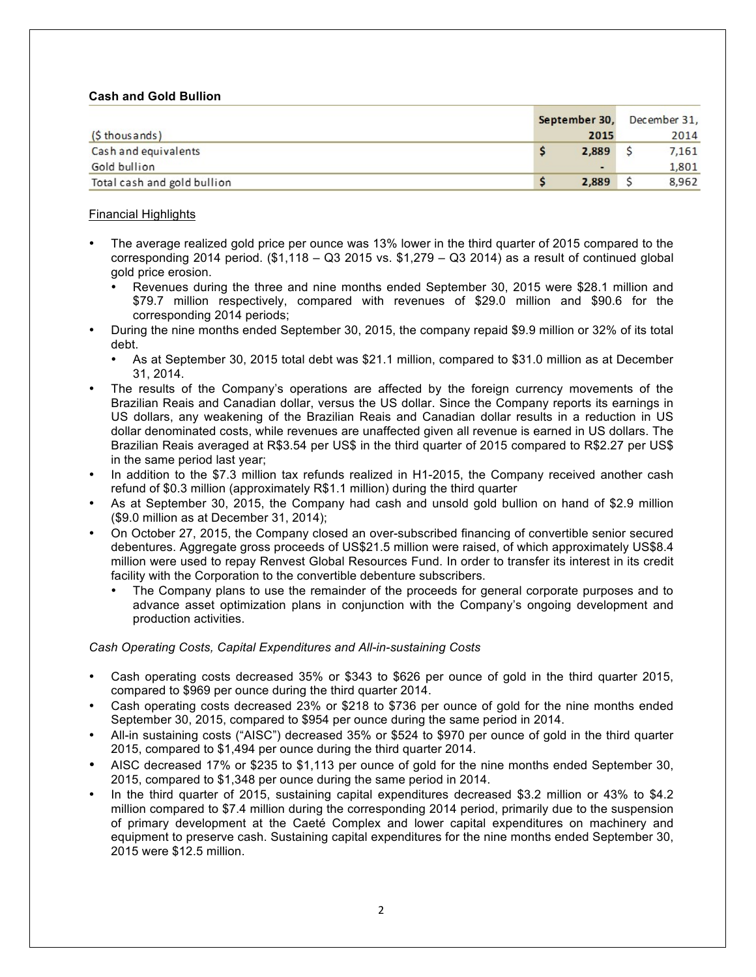# **Cash and Gold Bullion**

|                             | September 30, |       | December 31, |       |  |
|-----------------------------|---------------|-------|--------------|-------|--|
| $(5$ thous ands)            |               | 2015  |              | 2014  |  |
| Cash and equivalents        |               | 2,889 |              | 7,161 |  |
| Gold bullion                |               | ۰.    |              | 1,801 |  |
| Total cash and gold bullion |               | 2.889 |              | 8,962 |  |

# Financial Highlights

- The average realized gold price per ounce was 13% lower in the third quarter of 2015 compared to the corresponding 2014 period.  $$1,118 - Q3 2015$  vs.  $$1,279 - Q3 2014$ ) as a result of continued global gold price erosion.
	- Revenues during the three and nine months ended September 30, 2015 were \$28.1 million and \$79.7 million respectively, compared with revenues of \$29.0 million and \$90.6 for the corresponding 2014 periods;
- During the nine months ended September 30, 2015, the company repaid \$9.9 million or 32% of its total debt.
	- As at September 30, 2015 total debt was \$21.1 million, compared to \$31.0 million as at December 31, 2014.
- The results of the Company's operations are affected by the foreign currency movements of the Brazilian Reais and Canadian dollar, versus the US dollar. Since the Company reports its earnings in US dollars, any weakening of the Brazilian Reais and Canadian dollar results in a reduction in US dollar denominated costs, while revenues are unaffected given all revenue is earned in US dollars. The Brazilian Reais averaged at R\$3.54 per US\$ in the third quarter of 2015 compared to R\$2.27 per US\$ in the same period last year;
- In addition to the \$7.3 million tax refunds realized in H1-2015, the Company received another cash refund of \$0.3 million (approximately R\$1.1 million) during the third quarter
- As at September 30, 2015, the Company had cash and unsold gold bullion on hand of \$2.9 million (\$9.0 million as at December 31, 2014);
- On October 27, 2015, the Company closed an over-subscribed financing of convertible senior secured debentures. Aggregate gross proceeds of US\$21.5 million were raised, of which approximately US\$8.4 million were used to repay Renvest Global Resources Fund. In order to transfer its interest in its credit facility with the Corporation to the convertible debenture subscribers.
	- The Company plans to use the remainder of the proceeds for general corporate purposes and to advance asset optimization plans in conjunction with the Company's ongoing development and production activities.

## *Cash Operating Costs, Capital Expenditures and All-in-sustaining Costs*

- Cash operating costs decreased 35% or \$343 to \$626 per ounce of gold in the third quarter 2015, compared to \$969 per ounce during the third quarter 2014.
- Cash operating costs decreased 23% or \$218 to \$736 per ounce of gold for the nine months ended September 30, 2015, compared to \$954 per ounce during the same period in 2014.
- All-in sustaining costs ("AISC") decreased 35% or \$524 to \$970 per ounce of gold in the third quarter 2015, compared to \$1,494 per ounce during the third quarter 2014.
- AISC decreased 17% or \$235 to \$1,113 per ounce of gold for the nine months ended September 30, 2015, compared to \$1,348 per ounce during the same period in 2014.
- In the third quarter of 2015, sustaining capital expenditures decreased \$3.2 million or 43% to \$4.2 million compared to \$7.4 million during the corresponding 2014 period, primarily due to the suspension of primary development at the Caeté Complex and lower capital expenditures on machinery and equipment to preserve cash. Sustaining capital expenditures for the nine months ended September 30, 2015 were \$12.5 million.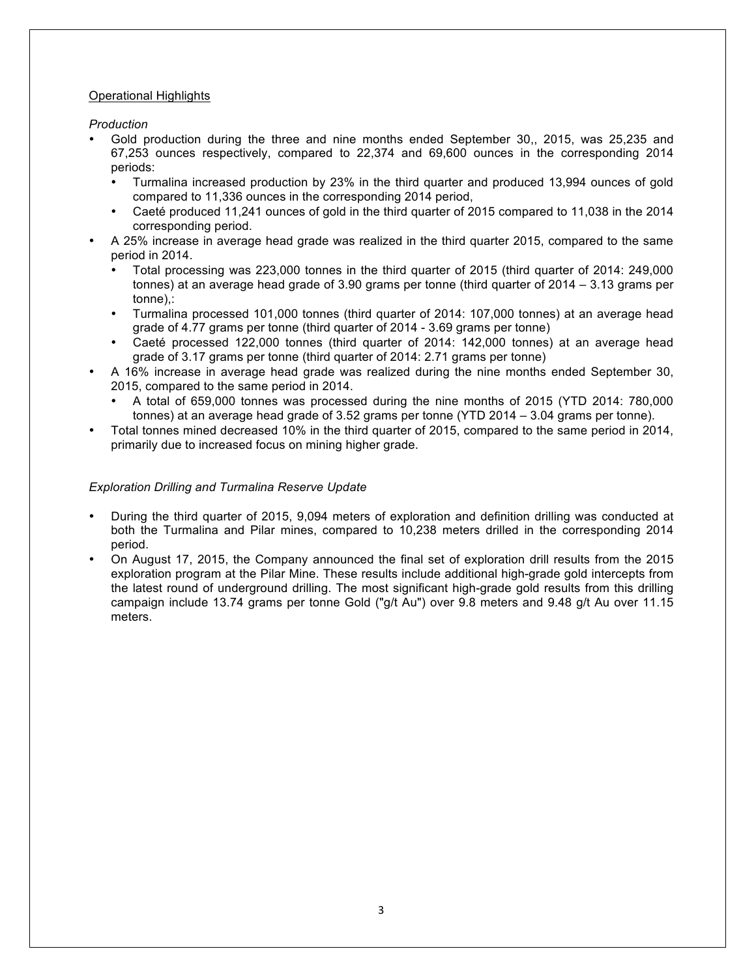# Operational Highlights

*Production*

- Gold production during the three and nine months ended September 30,, 2015, was 25,235 and 67,253 ounces respectively, compared to 22,374 and 69,600 ounces in the corresponding 2014 periods:
	- Turmalina increased production by 23% in the third quarter and produced 13,994 ounces of gold compared to 11,336 ounces in the corresponding 2014 period,
	- Caeté produced 11,241 ounces of gold in the third quarter of 2015 compared to 11,038 in the 2014 corresponding period.
- A 25% increase in average head grade was realized in the third quarter 2015, compared to the same period in 2014.
	- Total processing was 223,000 tonnes in the third quarter of 2015 (third quarter of 2014: 249,000 tonnes) at an average head grade of 3.90 grams per tonne (third quarter of 2014 – 3.13 grams per tonne),:
	- Turmalina processed 101,000 tonnes (third quarter of 2014: 107,000 tonnes) at an average head grade of 4.77 grams per tonne (third quarter of 2014 - 3.69 grams per tonne)
	- Caeté processed 122,000 tonnes (third quarter of 2014: 142,000 tonnes) at an average head grade of 3.17 grams per tonne (third quarter of 2014: 2.71 grams per tonne)
- A 16% increase in average head grade was realized during the nine months ended September 30, 2015, compared to the same period in 2014.
	- A total of 659,000 tonnes was processed during the nine months of 2015 (YTD 2014: 780,000 tonnes) at an average head grade of 3.52 grams per tonne (YTD 2014 – 3.04 grams per tonne).
- Total tonnes mined decreased 10% in the third quarter of 2015, compared to the same period in 2014, primarily due to increased focus on mining higher grade.

# *Exploration Drilling and Turmalina Reserve Update*

- During the third quarter of 2015, 9,094 meters of exploration and definition drilling was conducted at both the Turmalina and Pilar mines, compared to 10,238 meters drilled in the corresponding 2014 period.
- On August 17, 2015, the Company announced the final set of exploration drill results from the 2015 exploration program at the Pilar Mine. These results include additional high-grade gold intercepts from the latest round of underground drilling. The most significant high-grade gold results from this drilling campaign include 13.74 grams per tonne Gold ("g/t Au") over 9.8 meters and 9.48 g/t Au over 11.15 meters.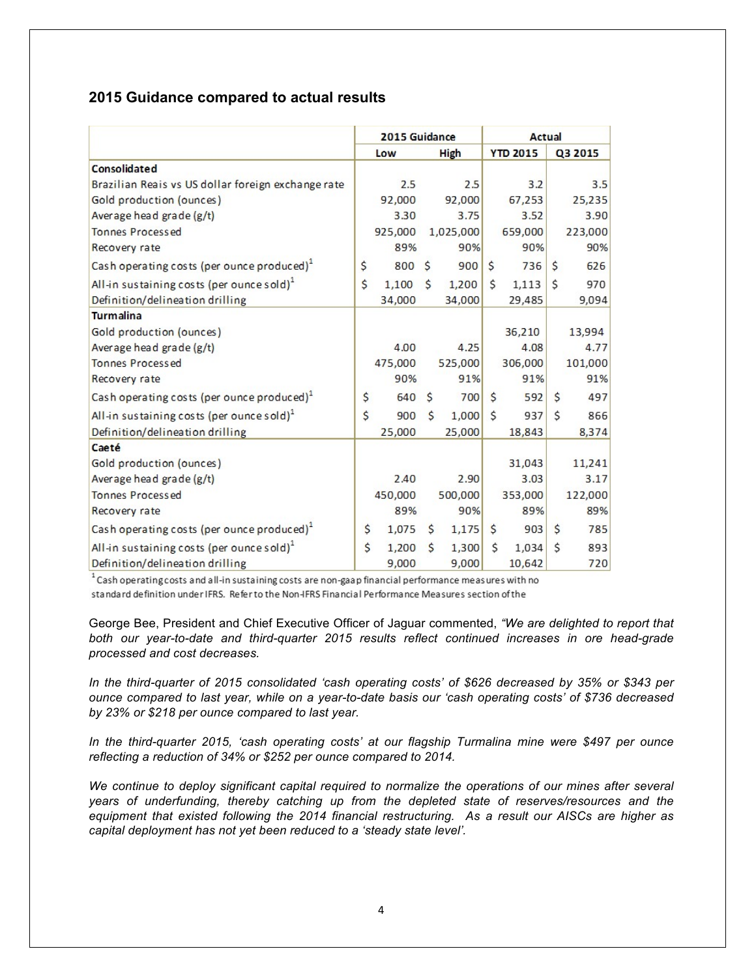# **2015 Guidance compared to actual results**

|                                                        | 2015 Guidance |         |                    | Actual      |     |                 |              |         |
|--------------------------------------------------------|---------------|---------|--------------------|-------------|-----|-----------------|--------------|---------|
|                                                        |               | Low     |                    | <b>High</b> |     | <b>YTD 2015</b> |              | Q3 2015 |
| <b>Consolidated</b>                                    |               |         |                    |             |     |                 |              |         |
| Brazilian Reais vs US dollar foreign exchange rate     |               | 2.5     |                    | 2.5         |     | 3.2             |              | 3.5     |
| Gold production (ounces)                               |               | 92,000  |                    | 92,000      |     | 67,253          |              | 25,235  |
| Average head grade (g/t)                               |               | 3.30    |                    | 3.75        |     | 3.52            |              | 3.90    |
| Tonnes Processed                                       |               | 925,000 |                    | 1,025,000   |     | 659,000         |              | 223,000 |
| Recovery rate                                          |               | 89%     |                    | 90%         |     | 90%             |              | 90%     |
| Cash operating costs (per ounce produced) <sup>1</sup> | \$            | 800     | <sup>S</sup>       | 900         | \$  | 736             | \$           | 626     |
| All-in sustaining costs (per ounce sold) <sup>1</sup>  | \$            | 1,100   | $\mathsf{\hat{S}}$ | 1,200       | \$  | 1,113           | \$           | 970     |
| Definition/delineation drilling                        |               | 34,000  |                    | 34,000      |     | 29,485          |              | 9,094   |
| <b>Turmalina</b>                                       |               |         |                    |             |     |                 |              |         |
| Gold production (ounces)                               |               |         |                    |             |     | 36,210          |              | 13,994  |
| Average head grade (g/t)                               |               | 4.00    |                    | 4.25        |     | 4.08            |              | 4.77    |
| <b>Tonnes Processed</b>                                |               | 475,000 |                    | 525,000     |     | 306,000         |              | 101,000 |
| Recovery rate                                          |               | 90%     |                    | 91%         |     | 91%             |              | 91%     |
| Cash operating costs (per ounce produced) <sup>1</sup> | \$            | 640     | \$                 | 700         | \$  | 592             | Ś.           | 497     |
| All-in sustaining costs (per ounce sold) $1$           | \$            | 900     | $\mathsf{\hat{S}}$ | 1,000       | \$  | 937             | Ś            | 866     |
| Definition/delineation drilling                        |               | 25,000  |                    | 25,000      |     | 18,843          |              | 8,374   |
| Caeté                                                  |               |         |                    |             |     |                 |              |         |
| Gold production (ounces)                               |               |         |                    |             |     | 31,043          |              | 11,241  |
| Average head grade (g/t)                               |               | 2.40    |                    | 2.90        |     | 3.03            |              | 3.17    |
| <b>Tonnes Processed</b>                                |               | 450,000 |                    | 500,000     |     | 353,000         |              | 122,000 |
| Recovery rate                                          |               | 89%     |                    | 90%         |     | 89%             |              | 89%     |
| Cash operating costs (per ounce produced) <sup>1</sup> | \$            | 1,075   | Ś.                 | 1,175       | \$. | 903             | <sup>S</sup> | 785     |
| All-in sustaining costs (per ounce sold) $1$           | \$            | 1,200   | $\mathsf{s}$       | 1,300       | \$  | 1,034           | Ś            | 893     |
| Definition/delineation drilling                        |               | 9,000   |                    | 9,000       |     | 10,642          |              | 720     |

<sup>1</sup> Cash operating costs and all-in sustaining costs are non-gaap financial performance measures with no standard definition under IFRS. Refer to the Non-IFRS Financial Performance Measures section of the

George Bee, President and Chief Executive Officer of Jaguar commented, *"We are delighted to report that both our year-to-date and third-quarter 2015 results reflect continued increases in ore head-grade processed and cost decreases.* 

*In the third-quarter of 2015 consolidated 'cash operating costs' of \$626 decreased by 35% or \$343 per ounce compared to last year, while on a year-to-date basis our 'cash operating costs' of \$736 decreased by 23% or \$218 per ounce compared to last year.* 

*In the third-quarter 2015, 'cash operating costs' at our flagship Turmalina mine were \$497 per ounce reflecting a reduction of 34% or \$252 per ounce compared to 2014.*

*We continue to deploy significant capital required to normalize the operations of our mines after several years of underfunding, thereby catching up from the depleted state of reserves/resources and the equipment that existed following the 2014 financial restructuring. As a result our AISCs are higher as capital deployment has not yet been reduced to a 'steady state level'.*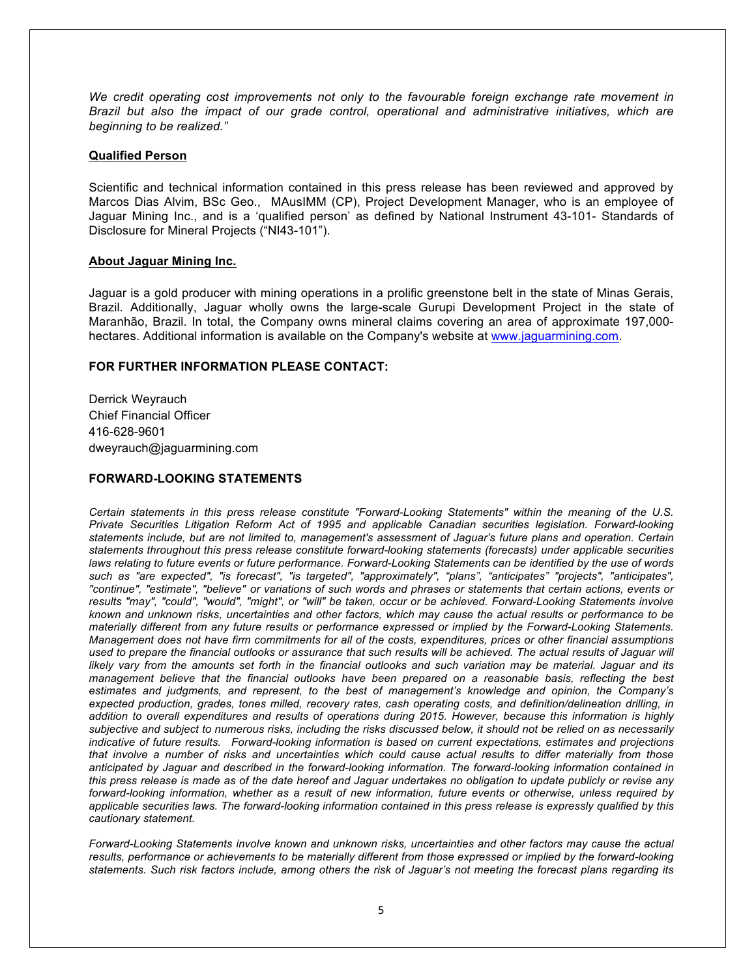*We credit operating cost improvements not only to the favourable foreign exchange rate movement in Brazil but also the impact of our grade control, operational and administrative initiatives, which are beginning to be realized."*

### **Qualified Person**

Scientific and technical information contained in this press release has been reviewed and approved by Marcos Dias Alvim, BSc Geo., MAusIMM (CP), Project Development Manager, who is an employee of Jaguar Mining Inc., and is a 'qualified person' as defined by National Instrument 43-101- Standards of Disclosure for Mineral Projects ("NI43-101").

## **About Jaguar Mining Inc.**

Jaguar is a gold producer with mining operations in a prolific greenstone belt in the state of Minas Gerais, Brazil. Additionally, Jaguar wholly owns the large-scale Gurupi Development Project in the state of Maranhão, Brazil. In total, the Company owns mineral claims covering an area of approximate 197,000 hectares. Additional information is available on the Company's website at www.jaguarmining.com.

# **FOR FURTHER INFORMATION PLEASE CONTACT:**

Derrick Weyrauch Chief Financial Officer 416-628-9601 dweyrauch@jaguarmining.com

### **FORWARD-LOOKING STATEMENTS**

*Certain statements in this press release constitute "Forward-Looking Statements" within the meaning of the U.S. Private Securities Litigation Reform Act of 1995 and applicable Canadian securities legislation. Forward-looking statements include, but are not limited to, management's assessment of Jaguar's future plans and operation. Certain statements throughout this press release constitute forward-looking statements (forecasts) under applicable securities laws relating to future events or future performance. Forward-Looking Statements can be identified by the use of words such as "are expected", "is forecast", "is targeted", "approximately", "plans", "anticipates" "projects", "anticipates", "continue", "estimate", "believe" or variations of such words and phrases or statements that certain actions, events or results "may", "could", "would", "might", or "will" be taken, occur or be achieved. Forward-Looking Statements involve known and unknown risks, uncertainties and other factors, which may cause the actual results or performance to be materially different from any future results or performance expressed or implied by the Forward-Looking Statements. Management does not have firm commitments for all of the costs, expenditures, prices or other financial assumptions used to prepare the financial outlooks or assurance that such results will be achieved. The actual results of Jaguar will likely vary from the amounts set forth in the financial outlooks and such variation may be material. Jaguar and its management believe that the financial outlooks have been prepared on a reasonable basis, reflecting the best estimates and judgments, and represent, to the best of management's knowledge and opinion, the Company's expected production, grades, tones milled, recovery rates, cash operating costs, and definition/delineation drilling, in addition to overall expenditures and results of operations during 2015. However, because this information is highly subjective and subject to numerous risks, including the risks discussed below, it should not be relied on as necessarily indicative of future results. Forward-looking information is based on current expectations, estimates and projections that involve a number of risks and uncertainties which could cause actual results to differ materially from those anticipated by Jaguar and described in the forward-looking information. The forward-looking information contained in this press release is made as of the date hereof and Jaguar undertakes no obligation to update publicly or revise any forward-looking information, whether as a result of new information, future events or otherwise, unless required by applicable securities laws. The forward-looking information contained in this press release is expressly qualified by this cautionary statement.*

*Forward-Looking Statements involve known and unknown risks, uncertainties and other factors may cause the actual results, performance or achievements to be materially different from those expressed or implied by the forward-looking statements. Such risk factors include, among others the risk of Jaguar's not meeting the forecast plans regarding its*